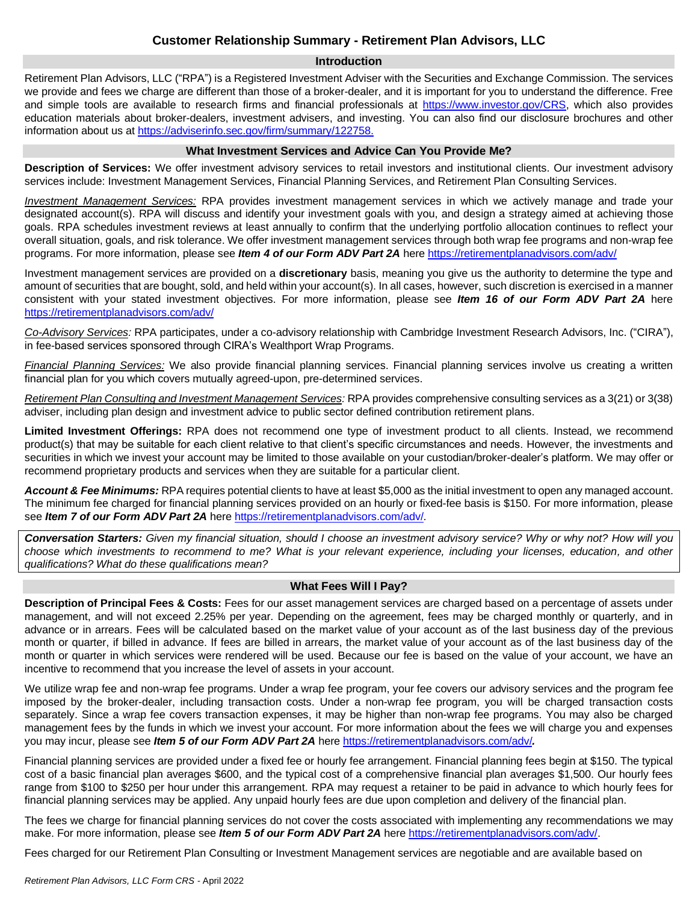# **Customer Relationship Summary - Retirement Plan Advisors, LLC**

#### **Introduction**

Retirement Plan Advisors, LLC ("RPA") is a Registered Investment Adviser with the Securities and Exchange Commission. The services we provide and fees we charge are different than those of a broker-dealer, and it is important for you to understand the difference. Free and simple tools are available to research firms and financial professionals at [https://www.investor.gov/CRS,](https://www.investor.gov/CRS) which also provides education materials about broker-dealers, investment advisers, and investing. You can also find our disclosure brochures and other information about us at [https://adviserinfo.sec.gov/firm/summary/122758.](https://adviserinfo.sec.gov/firm/summary/122758)

#### **What Investment Services and Advice Can You Provide Me?**

**Description of Services:** We offer investment advisory services to retail investors and institutional clients. Our investment advisory services include: Investment Management Services, Financial Planning Services, and Retirement Plan Consulting Services.

*Investment Management Services:* RPA provides investment management services in which we actively manage and trade your designated account(s). RPA will discuss and identify your investment goals with you, and design a strategy aimed at achieving those goals. RPA schedules investment reviews at least annually to confirm that the underlying portfolio allocation continues to reflect your overall situation, goals, and risk tolerance. We offer investment management services through both wrap fee programs and non-wrap fee programs. For more information, please see *Item 4 of our Form ADV Part 2A* here<https://retirementplanadvisors.com/adv/>

Investment management services are provided on a **discretionary** basis, meaning you give us the authority to determine the type and amount of securities that are bought, sold, and held within your account(s). In all cases, however, such discretion is exercised in a manner consistent with your stated investment objectives. For more information, please see *Item 16 of our Form ADV Part 2A* here <https://retirementplanadvisors.com/adv/>

*Co-Advisory Services:* RPA participates, under a co-advisory relationship with Cambridge Investment Research Advisors, Inc. ("CIRA"), in fee-based services sponsored through CIRA's Wealthport Wrap Programs.

*Financial Planning Services:* We also provide financial planning services. Financial planning services involve us creating a written financial plan for you which covers mutually agreed-upon, pre-determined services.

*Retirement Plan Consulting and Investment Management Services:* RPA provides comprehensive consulting services as a 3(21) or 3(38) adviser, including plan design and investment advice to public sector defined contribution retirement plans.

**Limited Investment Offerings:** RPA does not recommend one type of investment product to all clients. Instead, we recommend product(s) that may be suitable for each client relative to that client's specific circumstances and needs. However, the investments and securities in which we invest your account may be limited to those available on your custodian/broker-dealer's platform. We may offer or recommend proprietary products and services when they are suitable for a particular client.

*Account & Fee Minimums:* RPA requires potential clients to have at least \$5,000 as the initial investment to open any managed account. The minimum fee charged for financial planning services provided on an hourly or fixed-fee basis is \$150. For more information, please see *Item 7 of our Form ADV Part 2A* here<https://retirementplanadvisors.com/adv/>*.*

*Conversation Starters: Given my financial situation, should I choose an investment advisory service? Why or why not? How will you choose which investments to recommend to me? What is your relevant experience, including your licenses, education, and other qualifications? What do these qualifications mean?*

## **What Fees Will I Pay?**

**Description of Principal Fees & Costs:** Fees for our asset management services are charged based on a percentage of assets under management, and will not exceed 2.25% per year. Depending on the agreement, fees may be charged monthly or quarterly, and in advance or in arrears. Fees will be calculated based on the market value of your account as of the last business day of the previous month or quarter, if billed in advance. If fees are billed in arrears, the market value of your account as of the last business day of the month or quarter in which services were rendered will be used. Because our fee is based on the value of your account, we have an incentive to recommend that you increase the level of assets in your account.

We utilize wrap fee and non-wrap fee programs. Under a wrap fee program, your fee covers our advisory services and the program fee imposed by the broker-dealer, including transaction costs. Under a non-wrap fee program, you will be charged transaction costs separately. Since a wrap fee covers transaction expenses, it may be higher than non-wrap fee programs. You may also be charged management fees by the funds in which we invest your account. For more information about the fees we will charge you and expenses you may incur, please see *Item 5 of our Form ADV Part 2A* here<https://retirementplanadvisors.com/adv/>*.*

Financial planning services are provided under a fixed fee or hourly fee arrangement. Financial planning fees begin at \$150. The typical cost of a basic financial plan averages \$600, and the typical cost of a comprehensive financial plan averages \$1,500. Our hourly fees range from \$100 to \$250 per hour under this arrangement. RPA may request a retainer to be paid in advance to which hourly fees for financial planning services may be applied. Any unpaid hourly fees are due upon completion and delivery of the financial plan.

The fees we charge for financial planning services do not cover the costs associated with implementing any recommendations we may make. For more information, please see *Item 5 of our Form ADV Part 2A* her[e https://retirementplanadvisors.com/adv/.](https://retirementplanadvisors.com/adv/)

Fees charged for our Retirement Plan Consulting or Investment Management services are negotiable and are available based on